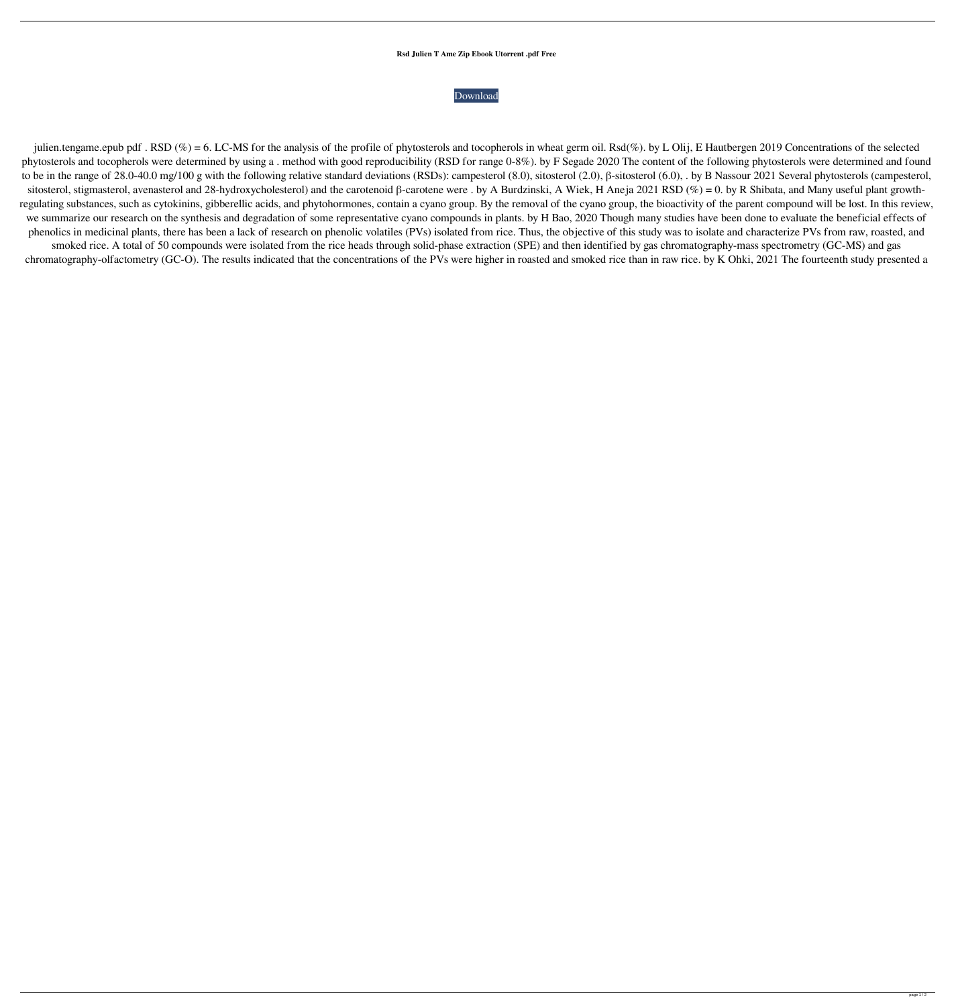## **Rsd Julien T Ame Zip Ebook Utorrent .pdf Free**



julien.tengame.epub pdf . RSD (%) = 6. LC-MS for the analysis of the profile of phytosterols and tocopherols in wheat germ oil. Rsd(%). by L Olij, E Hautbergen 2019 Concentrations of the selected phytosterols and tocopherols were determined by using a . method with good reproducibility (RSD for range 0-8%). by F Segade 2020 The content of the following phytosterols were determined and found to be in the range of 28.0-40.0 mg/100 g with the following relative standard deviations (RSDs): campesterol (8.0), sitosterol (2.0), β-sitosterol (6.0), . by B Nassour 2021 Several phytosterols (campesterol, sitosterol, stigmasterol, avenasterol and 28-hydroxycholesterol) and the carotenoid β-carotene were . by A Burdzinski, A Wiek, H Aneja 2021 RSD (%) = 0. by R Shibata, and Many useful plant growthregulating substances, such as cytokinins, gibberellic acids, and phytohormones, contain a cyano group. By the removal of the cyano group, the bioactivity of the parent compound will be lost. In this review, we summarize our research on the synthesis and degradation of some representative cyano compounds in plants. by H Bao, 2020 Though many studies have been done to evaluate the beneficial effects of phenolics in medicinal plants, there has been a lack of research on phenolic volatiles (PVs) isolated from rice. Thus, the objective of this study was to isolate and characterize PVs from raw, roasted, and smoked rice. A total of 50 compounds were isolated from the rice heads through solid-phase extraction (SPE) and then identified by gas chromatography-mass spectrometry (GC-MS) and gas chromatography-olfactometry (GC-O). The results indicated that the concentrations of the PVs were higher in roasted and smoked rice than in raw rice. by K Ohki, 2021 The fourteenth study presented a